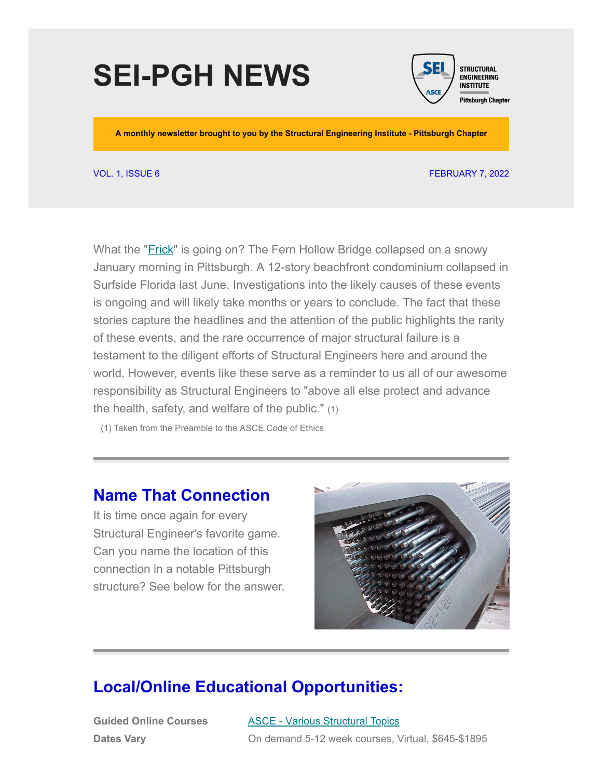# **SEI-PGH NEWS**



**A monthly newsletter brought to you by the Structural Engineering Institute - Pittsburgh Chapter**

#### VOL. 1, ISSUE 6 FEBRUARY 7, 2022

What the "**Frick**" is going on? The Fern Hollow Bridge collapsed on a snowy January morning in Pittsburgh. A 12-story beachfront condominium collapsed in Surfside Florida last June. Investigations into the likely causes of these events is ongoing and will likely take months or years to conclude. The fact that these stories capture the headlines and the attention of the public highlights the rarity of these events, and the rare occurrence of major structural failure is a testament to the diligent efforts of Structural Engineers here and around the world. However, events like these serve as a reminder to us all of our awesome responsibility as Structural Engineers to "above all else protect and advance the health, safety, and welfare of the public." (1)

(1) Taken from the Preamble to the ASCE Code of Ethics

#### **Name That Connection**

It is time once again for every Structural Engineer's favorite game. Can you name the location of this connection in a notable Pittsburgh structure? See below for the answer.



#### **Local/Online Educational Opportunities:**

**Guided Online Courses Dates Vary**

[ASCE -](https://mylearning.asce.org/diweb/catalog/item?id=8364151) V[arious Structural Topics](https://www.asce.org/education-and-events/explore-education/guided-online-courses) On demand 5-12 week courses, Virtual, \$645-\$1895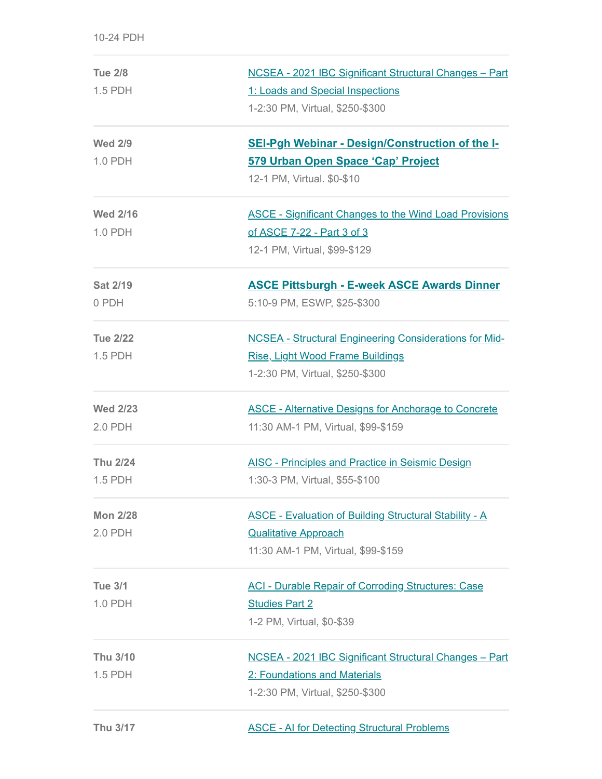| <b>Tue 2/8</b>  | NCSEA - 2021 IBC Significant Structural Changes - Part        |
|-----------------|---------------------------------------------------------------|
| 1.5 PDH         | 1: Loads and Special Inspections                              |
|                 | 1-2:30 PM, Virtual, \$250-\$300                               |
| <b>Wed 2/9</b>  | <b>SEI-Pgh Webinar - Design/Construction of the I-</b>        |
| 1.0 PDH         | 579 Urban Open Space 'Cap' Project                            |
|                 | 12-1 PM, Virtual. \$0-\$10                                    |
| <b>Wed 2/16</b> | <b>ASCE - Significant Changes to the Wind Load Provisions</b> |
| 1.0 PDH         | of ASCE 7-22 - Part 3 of 3                                    |
|                 | 12-1 PM, Virtual, \$99-\$129                                  |
| <b>Sat 2/19</b> | <b>ASCE Pittsburgh - E-week ASCE Awards Dinner</b>            |
| 0 PDH           | 5:10-9 PM, ESWP, \$25-\$300                                   |
| <b>Tue 2/22</b> | <b>NCSEA - Structural Engineering Considerations for Mid-</b> |
| 1.5 PDH         | <b>Rise, Light Wood Frame Buildings</b>                       |
|                 | 1-2:30 PM, Virtual, \$250-\$300                               |
| <b>Wed 2/23</b> | <b>ASCE - Alternative Designs for Anchorage to Concrete</b>   |
| 2.0 PDH         | 11:30 AM-1 PM, Virtual, \$99-\$159                            |
| <b>Thu 2/24</b> | <b>AISC - Principles and Practice in Seismic Design</b>       |
| 1.5 PDH         | 1:30-3 PM, Virtual, \$55-\$100                                |
| <b>Mon 2/28</b> | <b>ASCE - Evaluation of Building Structural Stability - A</b> |
| 2.0 PDH         | <b>Qualitative Approach</b>                                   |
|                 | 11:30 AM-1 PM, Virtual, \$99-\$159                            |
| <b>Tue 3/1</b>  | <b>ACI - Durable Repair of Corroding Structures: Case</b>     |
| 1.0 PDH         | <b>Studies Part 2</b>                                         |
|                 | 1-2 PM, Virtual, \$0-\$39                                     |
| Thu 3/10        | NCSEA - 2021 IBC Significant Structural Changes - Part        |
| 1.5 PDH         | 2: Foundations and Materials                                  |
|                 | 1-2:30 PM, Virtual, \$250-\$300                               |
| Thu 3/17        | <b>ASCE - AI for Detecting Structural Problems</b>            |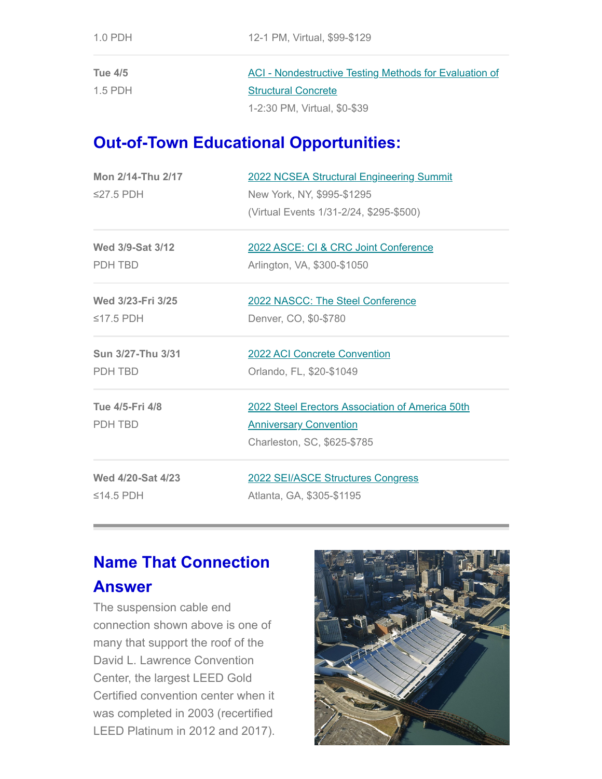| Tue 4/5   | ACI - Nondestructive Testing Methods for Evaluation of |
|-----------|--------------------------------------------------------|
| $1.5$ PDH | <b>Structural Concrete</b>                             |
|           | 1-2:30 PM, Virtual, \$0-\$39                           |

#### **Out-of-Town Educational Opportunities:**

| Mon 2/14-Thu 2/17 | 2022 NCSEA Structural Engineering Summit        |
|-------------------|-------------------------------------------------|
| ≤27.5 PDH         | New York, NY, \$995-\$1295                      |
|                   | (Virtual Events 1/31-2/24, \$295-\$500)         |
|                   |                                                 |
| Wed 3/9-Sat 3/12  | 2022 ASCE: CI & CRC Joint Conference            |
| PDH TBD           | Arlington, VA, \$300-\$1050                     |
|                   |                                                 |
| Wed 3/23-Fri 3/25 | 2022 NASCC: The Steel Conference                |
| ≤17.5 PDH         | Denver, CO, \$0-\$780                           |
| Sun 3/27-Thu 3/31 | <b>2022 ACI Concrete Convention</b>             |
|                   |                                                 |
| PDH TBD           | Orlando, FL, \$20-\$1049                        |
| Tue 4/5-Fri 4/8   | 2022 Steel Erectors Association of America 50th |
| PDH TBD           | <b>Anniversary Convention</b>                   |
|                   | Charleston, SC, \$625-\$785                     |
| Wed 4/20-Sat 4/23 | 2022 SEI/ASCE Structures Congress               |
| ≤14.5 PDH         | Atlanta, GA, \$305-\$1195                       |
|                   |                                                 |

## **Name That Connection**

#### **Answer**

The suspension cable end connection shown above is one of many that support the roof of the David L. Lawrence Convention Center, the largest LEED Gold Certified convention center when it was completed in 2003 (recertified LEED Platinum in 2012 and 2017).

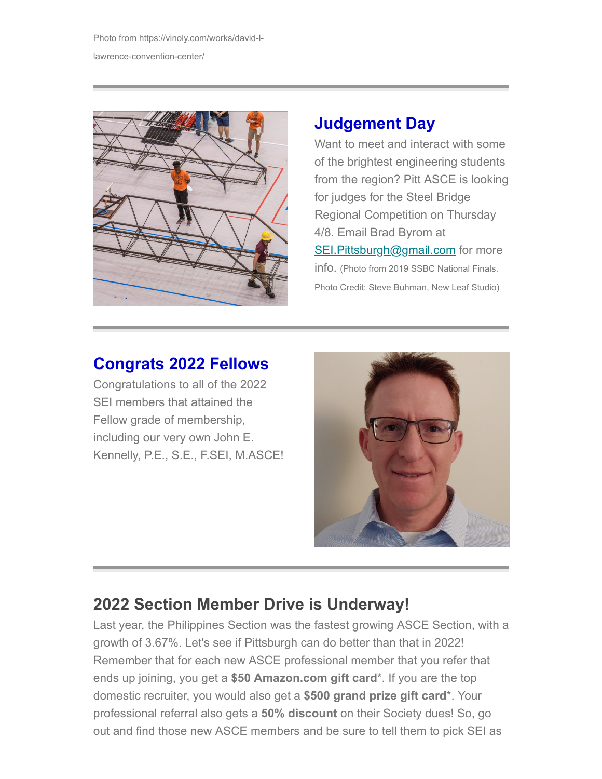Photo from https://vinoly.com/works/david-llawrence-convention-center/



### **Judgement Day**

Want to meet and interact with some of the brightest engineering students from the region? Pitt ASCE is looking for judges for the Steel Bridge Regional Competition on Thursday 4/8. Email Brad Byrom at [SEI.Pittsburgh@gmail.com](mailto:SEI.Pittsburgh@gmail.com?subject=Interested%20in%20being%20a%20judge%20for%20Steel%20Bridge) for more info. (Photo from 2019 SSBC National Finals. Photo Credit: Steve Buhman, New Leaf Studio)

## **Congrats 2022 Fellows**

Congratulations to all of the 2022 SEI members that attained the Fellow grade of membership, including our very own John E. Kennelly, P.E., S.E., F.SEI, M.ASCE!



# **2022 Section Member Drive is Underway!**

Last year, the Philippines Section was the fastest growing ASCE Section, with a growth of 3.67%. Let's see if Pittsburgh can do better than that in 2022! Remember that for each new ASCE professional member that you refer that ends up joining, you get a **\$50 Amazon.com gift card**\*. If you are the top domestic recruiter, you would also get a **\$500 grand prize gift card**\*. Your professional referral also gets a **50% discount** on their Society dues! So, go out and find those new ASCE members and be sure to tell them to pick SEI as